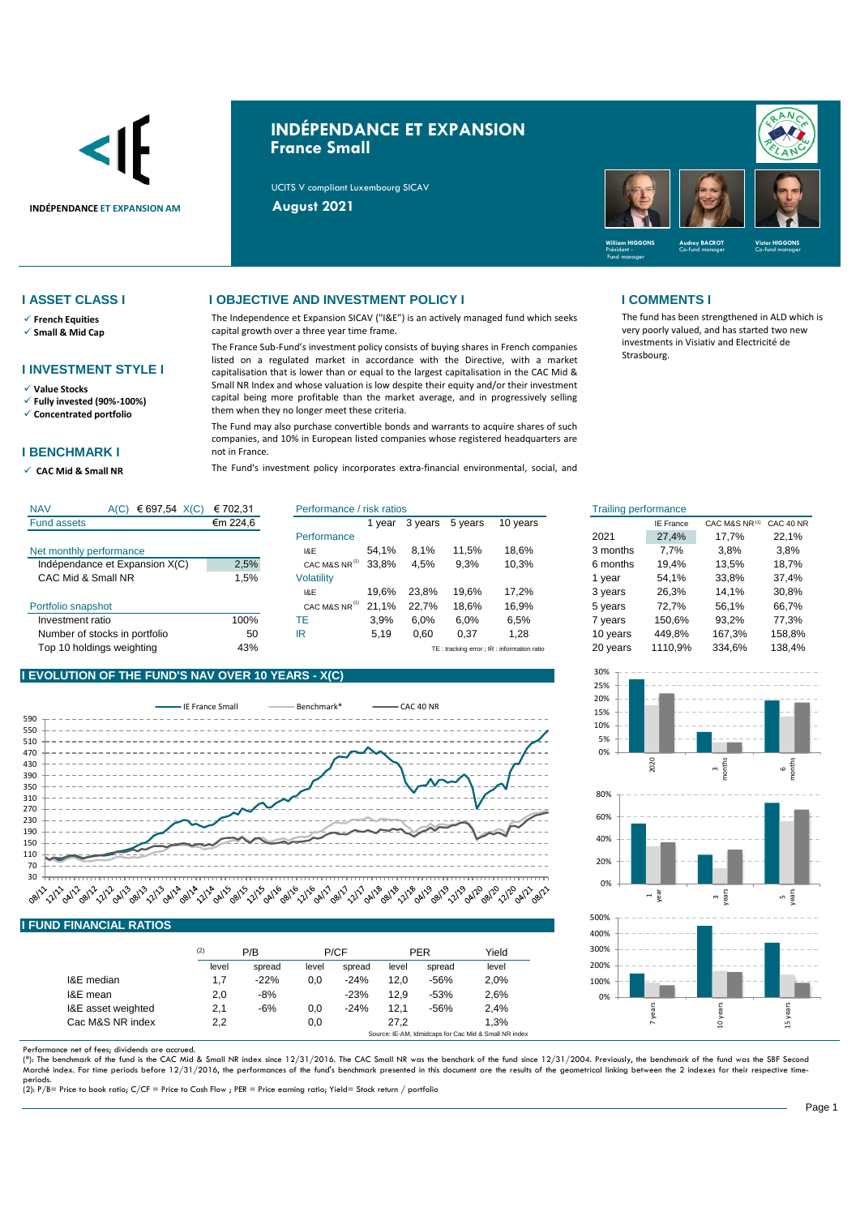

# **INDÉPENDANCE ET EXPANSION France Small**

UCITS V compliant Luxembourg SICAV



The fund has been strengthened in ALD which is very poorly valued, and has started two new investments in Visiativ and Electricité de

Strasbourg.

- ✓ **French Equities**
- ✓ **Small & Mid Cap**

### **I INVESTMENT STYLE I**

- ✓ **Value Stocks**
- ✓ **Fully invested (90%-100%)** ✓ **Concentrated portfolio**
- 

### **I BENCHMARK I**

✓ **CAC Mid & Small NR** 

### **I ASSET CLASS I I OBJECTIVE AND INVESTMENT POLICY I I COMMENTS I**

The Independence et Expansion SICAV ("I&E") is an actively managed fund which seeks capital growth over a three year time frame.

The France Sub-Fund's investment policy consists of buying shares in French companies listed on a regulated market in accordance with the Directive, with a market capitalisation that is lower than or equal to the largest capitalisation in the CAC Mid & Small NR Index and whose valuation is low despite their equity and/or their investment capital being more profitable than the market average, and in progressively selling them when they no longer meet these criteria.

The Fund may also purchase convertible bonds and warrants to acquire shares of such companies, and 10% in European listed companies whose registered headquarters are not in France.

The Fund's investment policy incorporates extra-financial environmental, social, and

| <b>NAV</b><br>€ 697,54 $X(C)$<br>A(C) | € 702,31 | Performance / risk ratios |       |         |         | <b>Trailing performance</b> |          |                  |               |           |
|---------------------------------------|----------|---------------------------|-------|---------|---------|-----------------------------|----------|------------------|---------------|-----------|
| <b>Fund assets</b>                    | €m 224,6 |                           | vear  | 3 years | 5 years | 10 years                    |          | <b>IE France</b> | CAC M&S NR(1) | CAC 40 NR |
|                                       |          | Performance               |       |         |         |                             | 2021     | 27.4%            | 17.7%         | 22.1%     |
| Net monthly performance               |          | I&E                       | 54.1% | 8.1%    | 11,5%   | 18.6%                       | 3 months | 7.7%             | 3,8%          | 3,8%      |
| Indépendance et Expansion X(C)        | 2,5%     | CAC M&S NR <sup>(1)</sup> | 33.8% | 4.5%    | 9,3%    | 10,3%                       | 6 months | 19.4%            | 13.5%         | 18.7%     |
| CAC Mid & Small NR                    | .5%      | <b>Volatility</b>         |       |         |         |                             | 1 year   | 54.1%            | 33,8%         | 37.4%     |
|                                       |          | I&E                       | 19.6% | 23.8%   | 19.6%   | 17.2%                       | 3 years  | 26,3%            | 14.1%         | 30,8%     |
| Portfolio snapshot                    |          | CAC M&S NR <sup>(1)</sup> | 21.1% | 22.7%   | 18.6%   | 16,9%                       | 5 years  | 72.7%            | 56.1%         | 66,7%     |
| Investment ratio                      | 100%     | TE                        | 3.9%  | 6.0%    | 6.0%    | 6,5%                        | 7 years  | 150.6%           | 93.2%         | 77.3%     |
| Number of stocks in portfolio         | 50       | IR                        | 5,19  | 0,60    | 0,37    | 1,28                        | 10 years | 449,8%           | 167.3%        | 158,8%    |
|                                       |          |                           |       |         |         |                             |          |                  |               |           |



### Fund assets Performance Net monthly performance The Contract Contract Contract Contract Contract Contract Contract Contract Contract Contract Contract Contract Contract Contract Contract Contract Contract Contract Contract Contract Contract Contr Indépendance et Expansion X(C)  $2.5\%$  CAC M&S NR<sup>(i)</sup> 33.8% 4.5% 9.3% 10.3% CAC Mid & Small NR<br>
1,5% Volatility<br>
19,6% 23,8% 19,6% 17,2% I&E 19,6% 23,8% 19,6% 17,2% 3 years Portfolio snapshot **CAC MAS NR**  $(1)$  21,1% 22,7% 18,6% 16,9% Investment ratio **100%** TE 3,9% 6,0% 6,0% 6,5% Number of stocks in portfolio  $50$  IR  $5.19$  0.60 0.37 1.28 Top 10 holdings weighting Text of the May 1996 Contract of the May 10 and the TE : tracking error ; IR TE : tracking error ; IR : information ratio 20 years 1110,9% 334,6% 138,4% 50 IR 5,19 0,60 0,37 1,28 10 years 449,8% 167,3% 158,8% 100% TE 3,9% 6,0% 6,0% 6,5% 7 years 150,6% 1,5% 54,1% 33,8% 37,4% 19,6% 23,8% 19,6% 17,2% 26,3% 14,1% 2,5% cac m&s nr<sup>ii</sup> 33,8% 4,5% 9,3% 10,3% 6 months 19,4% 13,5% 18,7% 54,1% 8,1% 11,5% 18,6% 7,7% 3,8% €m 224,6 1 year 3 years 5 years 10 years IE France CAC M&S NR CAC 40 NR (1)

### **I EVOLUTION OF THE FUND'S NAV OVER 10 YEARS - X(C)**



## **I FUND FINANCIAL RATIOS**

|                    | (2)   | P/B    |       | P/CF   |       | <b>PER</b> | Yield |
|--------------------|-------|--------|-------|--------|-------|------------|-------|
|                    | level | spread | level | spread | level | spread     | level |
| I&E median         | 1.7   | $-22%$ | 0.0   | $-24%$ | 12.0  | $-56%$     | 2,0%  |
| I&E mean           | 2,0   | $-8%$  |       | $-23%$ | 12.9  | $-53%$     | 2,6%  |
| I&E asset weighted | 2,1   | $-6%$  | 0,0   | $-24%$ | 12.1  | $-56%$     | 2.4%  |
| Cac M&S NR index   | 2.2   |        | 0,0   |        | 27.2  |            | 1.3%  |

Performance net of fees; dividends are accrued.<br>(\*): The benchmark of the fund is the CAC Mid & Small NR index since 12/31/2016. The CAC Small NR was the benchark of the fund since 12/31/2004. Previously, the benchmark of Marché index. For time periods before 12/31/2016, the performances of the fund's benchmark presented in this document are the results of the geometrical linking between the 2 indexes for their respective timeperiods. (2): P/B= Price to book ratio; C/CF = Price to Cash Flow ; PER = Price earning ratio; Yield= Stock return / portfolio